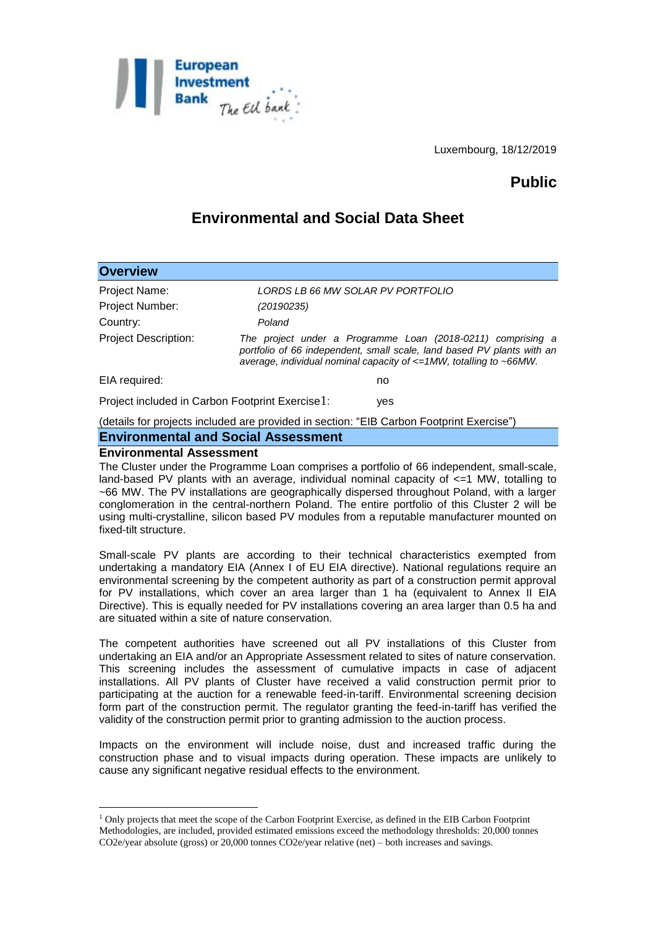

Luxembourg, 18/12/2019

# **Public**

# **Environmental and Social Data Sheet**

| <b>Overview</b>                                                                          |                                                                                                                                                                                                                               |
|------------------------------------------------------------------------------------------|-------------------------------------------------------------------------------------------------------------------------------------------------------------------------------------------------------------------------------|
| Project Name:                                                                            | LORDS LB 66 MW SOLAR PV PORTFOLIO                                                                                                                                                                                             |
| Project Number:                                                                          | (20190235)                                                                                                                                                                                                                    |
| Country:                                                                                 | Poland                                                                                                                                                                                                                        |
| <b>Project Description:</b>                                                              | The project under a Programme Loan (2018-0211) comprising a<br>portfolio of 66 independent, small scale, land based PV plants with an<br>average, individual nominal capacity of $\epsilon = 1MW$ , totalling to $\sim$ 66MW. |
| EIA required:                                                                            | no                                                                                                                                                                                                                            |
| Project included in Carbon Footprint Exercise1:<br>yes                                   |                                                                                                                                                                                                                               |
| (details for projects included are provided in section: "EIB Carbon Footprint Exercise") |                                                                                                                                                                                                                               |

### **Environmental and Social Assessment**

#### **Environmental Assessment**

1

The Cluster under the Programme Loan comprises a portfolio of 66 independent, small-scale, land-based PV plants with an average, individual nominal capacity of  $\leq 1$  MW, totalling to ~66 MW. The PV installations are geographically dispersed throughout Poland, with a larger conglomeration in the central-northern Poland. The entire portfolio of this Cluster 2 will be using multi-crystalline, silicon based PV modules from a reputable manufacturer mounted on fixed-tilt structure.

Small-scale PV plants are according to their technical characteristics exempted from undertaking a mandatory EIA (Annex I of EU EIA directive). National regulations require an environmental screening by the competent authority as part of a construction permit approval for PV installations, which cover an area larger than 1 ha (equivalent to Annex II EIA Directive). This is equally needed for PV installations covering an area larger than 0.5 ha and are situated within a site of nature conservation.

The competent authorities have screened out all PV installations of this Cluster from undertaking an EIA and/or an Appropriate Assessment related to sites of nature conservation. This screening includes the assessment of cumulative impacts in case of adjacent installations. All PV plants of Cluster have received a valid construction permit prior to participating at the auction for a renewable feed-in-tariff. Environmental screening decision form part of the construction permit. The regulator granting the feed-in-tariff has verified the validity of the construction permit prior to granting admission to the auction process.

Impacts on the environment will include noise, dust and increased traffic during the construction phase and to visual impacts during operation. These impacts are unlikely to cause any significant negative residual effects to the environment.

<sup>1</sup> Only projects that meet the scope of the Carbon Footprint Exercise, as defined in the EIB Carbon Footprint Methodologies, are included, provided estimated emissions exceed the methodology thresholds: 20,000 tonnes CO2e/year absolute (gross) or 20,000 tonnes CO2e/year relative (net) – both increases and savings.